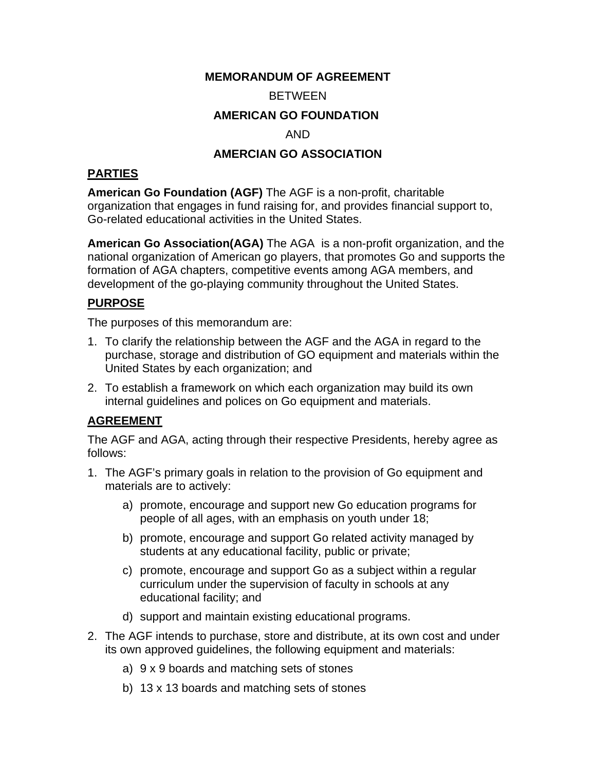### **MEMORANDUM OF AGREEMENT**

#### **BETWEEN**

## **AMERICAN GO FOUNDATION**

## AND

#### **AMERCIAN GO ASSOCIATION**

### **PARTIES**

**American Go Foundation (AGF)** The AGF is a non-profit, charitable organization that engages in fund raising for, and provides financial support to, Go-related educational activities in the United States.

**American Go Association(AGA)** The AGA is a non-profit organization, and the national organization of American go players, that promotes Go and supports the formation of AGA chapters, competitive events among AGA members, and development of the go-playing community throughout the United States.

# **PURPOSE**

The purposes of this memorandum are:

- 1. To clarify the relationship between the AGF and the AGA in regard to the purchase, storage and distribution of GO equipment and materials within the United States by each organization; and
- 2. To establish a framework on which each organization may build its own internal guidelines and polices on Go equipment and materials.

## **AGREEMENT**

The AGF and AGA, acting through their respective Presidents, hereby agree as follows:

- 1. The AGF's primary goals in relation to the provision of Go equipment and materials are to actively:
	- a) promote, encourage and support new Go education programs for people of all ages, with an emphasis on youth under 18;
	- b) promote, encourage and support Go related activity managed by students at any educational facility, public or private;
	- c) promote, encourage and support Go as a subject within a regular curriculum under the supervision of faculty in schools at any educational facility; and
	- d) support and maintain existing educational programs.
- 2. The AGF intends to purchase, store and distribute, at its own cost and under its own approved guidelines, the following equipment and materials:
	- a) 9 x 9 boards and matching sets of stones
	- b) 13 x 13 boards and matching sets of stones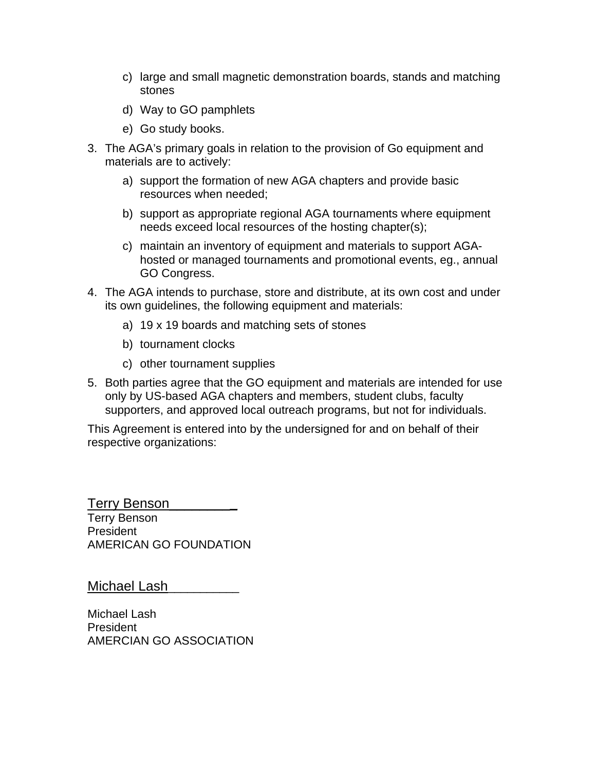- c) large and small magnetic demonstration boards, stands and matching stones
- d) Way to GO pamphlets
- e) Go study books.
- 3. The AGA's primary goals in relation to the provision of Go equipment and materials are to actively:
	- a) support the formation of new AGA chapters and provide basic resources when needed;
	- b) support as appropriate regional AGA tournaments where equipment needs exceed local resources of the hosting chapter(s);
	- c) maintain an inventory of equipment and materials to support AGAhosted or managed tournaments and promotional events, eg., annual GO Congress.
- 4. The AGA intends to purchase, store and distribute, at its own cost and under its own guidelines, the following equipment and materials:
	- a) 19 x 19 boards and matching sets of stones
	- b) tournament clocks
	- c) other tournament supplies
- 5. Both parties agree that the GO equipment and materials are intended for use only by US-based AGA chapters and members, student clubs, faculty supporters, and approved local outreach programs, but not for individuals.

This Agreement is entered into by the undersigned for and on behalf of their respective organizations:

Terry Benson\_\_\_\_\_\_\_\_**\_** Terry Benson **President** AMERICAN GO FOUNDATION

Michael Lash

Michael Lash President AMERCIAN GO ASSOCIATION